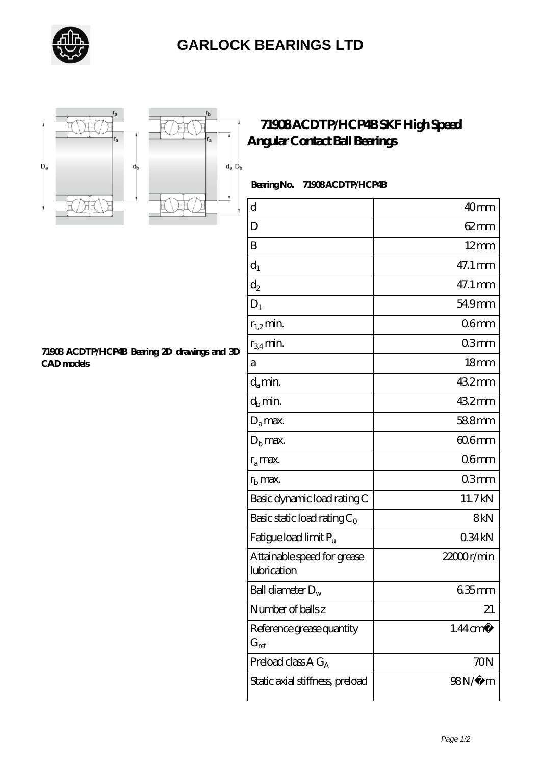

## **[GARLOCK BEARINGS LTD](https://letterstopriests.com)**





## **[71908 ACDTP/HCP4B SKF High Speed](https://letterstopriests.com/skf-bearing/71908-acdtp-hcp4b.html) [Angular Contact Ball Bearings](https://letterstopriests.com/skf-bearing/71908-acdtp-hcp4b.html)**

 **Bearing No. 71908 ACDTP/HCP4B**

| $\rm d$                                    | 40 <sub>mm</sub>    |
|--------------------------------------------|---------------------|
| D                                          | $62 \text{mm}$      |
| B                                          | $12 \text{mm}$      |
| $d_1$                                      | 47.1 mm             |
| $\mathrm{d}_2$                             | 47.1 mm             |
| $D_1$                                      | 54.9mm              |
| $r_{1,2}$ min.                             | 06 <sub>mm</sub>    |
| $r_{34}$ min.                              | 03mm                |
| а                                          | 18 <sub>mm</sub>    |
| $d_a$ min.                                 | 432mm               |
| $d_h$ min.                                 | 432mm               |
| $D_a$ max.                                 | 588mm               |
| $D_{b}$ max.                               | 60.6mm              |
| $r_a$ max.                                 | 06mm                |
| $rb$ max.                                  | 03mm                |
| Basic dynamic load rating C                | 11.7kN              |
| Basic static load rating $C_0$             | 8kN                 |
| Fatigue load limit $P_u$                   | 034kN               |
| Attainable speed for grease<br>lubrication | $22000$ r/min       |
| Ball diameter $D_w$                        | $635$ mm            |
| Number of balls z                          | 21                  |
| Reference grease quantity<br>$G_{ref}$     | $1.44 \text{ cm}^3$ |
| Preload class $A G_A$                      | 70N                 |
| Static axial stiffness, preload            | 98N/µ m             |

**[71908 ACDTP/HCP4B Bearing 2D drawings and 3D](https://letterstopriests.com/pic-935238.html) [CAD models](https://letterstopriests.com/pic-935238.html)**